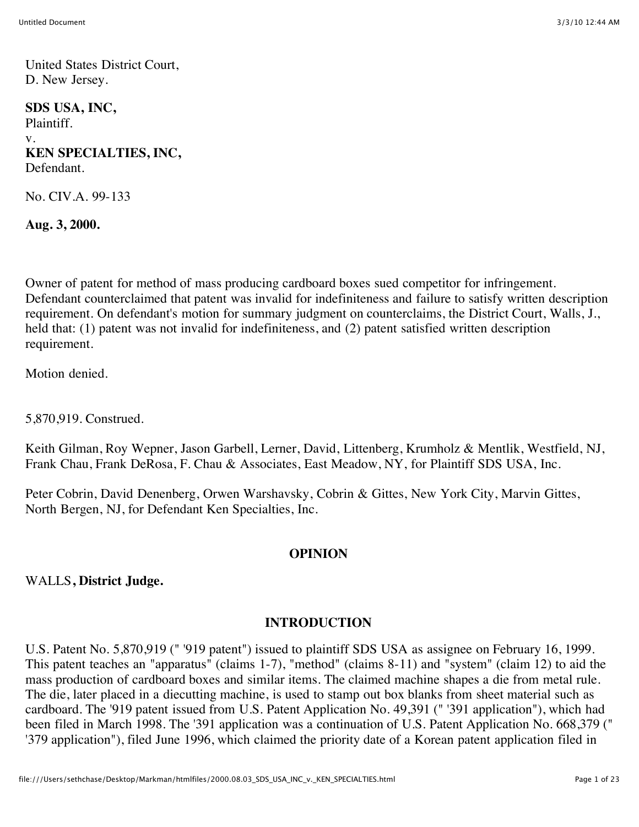United States District Court, D. New Jersey.

**SDS USA, INC,** Plaintiff. v. **KEN SPECIALTIES, INC,** Defendant.

No. CIV.A. 99-133

**Aug. 3, 2000.**

Owner of patent for method of mass producing cardboard boxes sued competitor for infringement. Defendant counterclaimed that patent was invalid for indefiniteness and failure to satisfy written description requirement. On defendant's motion for summary judgment on counterclaims, the District Court, Walls, J., held that: (1) patent was not invalid for indefiniteness, and (2) patent satisfied written description requirement.

Motion denied.

5,870,919. Construed.

Keith Gilman, Roy Wepner, Jason Garbell, Lerner, David, Littenberg, Krumholz & Mentlik, Westfield, NJ, Frank Chau, Frank DeRosa, F. Chau & Associates, East Meadow, NY, for Plaintiff SDS USA, Inc.

Peter Cobrin, David Denenberg, Orwen Warshavsky, Cobrin & Gittes, New York City, Marvin Gittes, North Bergen, NJ, for Defendant Ken Specialties, Inc.

#### **OPINION**

WALLS**, District Judge.**

#### **INTRODUCTION**

U.S. Patent No. 5,870,919 (" '919 patent") issued to plaintiff SDS USA as assignee on February 16, 1999. This patent teaches an "apparatus" (claims 1-7), "method" (claims 8-11) and "system" (claim 12) to aid the mass production of cardboard boxes and similar items. The claimed machine shapes a die from metal rule. The die, later placed in a diecutting machine, is used to stamp out box blanks from sheet material such as cardboard. The '919 patent issued from U.S. Patent Application No. 49,391 (" '391 application"), which had been filed in March 1998. The '391 application was a continuation of U.S. Patent Application No. 668,379 (" '379 application"), filed June 1996, which claimed the priority date of a Korean patent application filed in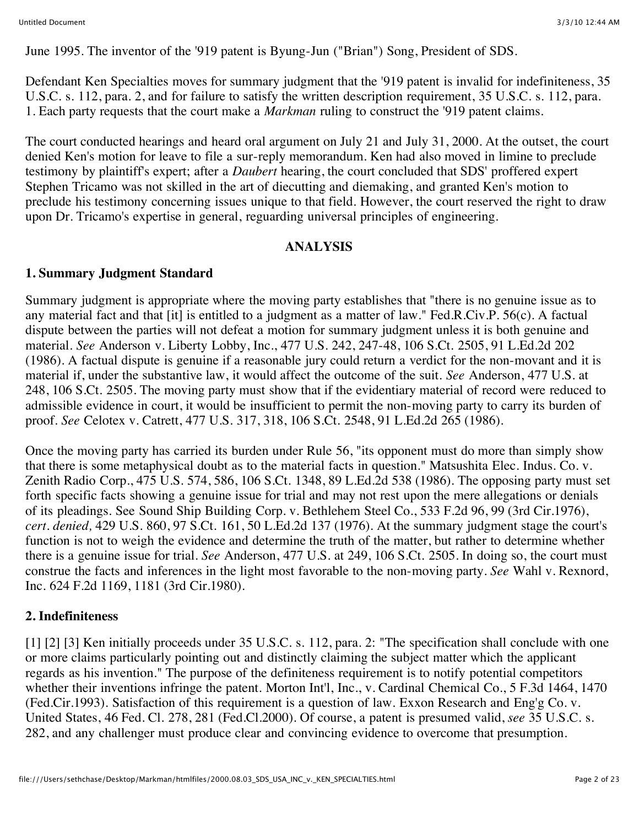June 1995. The inventor of the '919 patent is Byung-Jun ("Brian") Song, President of SDS.

Defendant Ken Specialties moves for summary judgment that the '919 patent is invalid for indefiniteness, 35 U.S.C. s. 112, para. 2, and for failure to satisfy the written description requirement, 35 U.S.C. s. 112, para. 1. Each party requests that the court make a *Markman* ruling to construct the '919 patent claims.

The court conducted hearings and heard oral argument on July 21 and July 31, 2000. At the outset, the court denied Ken's motion for leave to file a sur-reply memorandum. Ken had also moved in limine to preclude testimony by plaintiff's expert; after a *Daubert* hearing, the court concluded that SDS' proffered expert Stephen Tricamo was not skilled in the art of diecutting and diemaking, and granted Ken's motion to preclude his testimony concerning issues unique to that field. However, the court reserved the right to draw upon Dr. Tricamo's expertise in general, reguarding universal principles of engineering.

## **ANALYSIS**

## **1. Summary Judgment Standard**

Summary judgment is appropriate where the moving party establishes that "there is no genuine issue as to any material fact and that [it] is entitled to a judgment as a matter of law." Fed.R.Civ.P. 56(c). A factual dispute between the parties will not defeat a motion for summary judgment unless it is both genuine and material. *See* Anderson v. Liberty Lobby, Inc., 477 U.S. 242, 247-48, 106 S.Ct. 2505, 91 L.Ed.2d 202 (1986). A factual dispute is genuine if a reasonable jury could return a verdict for the non-movant and it is material if, under the substantive law, it would affect the outcome of the suit. *See* Anderson, 477 U.S. at 248, 106 S.Ct. 2505. The moving party must show that if the evidentiary material of record were reduced to admissible evidence in court, it would be insufficient to permit the non-moving party to carry its burden of proof. *See* Celotex v. Catrett, 477 U.S. 317, 318, 106 S.Ct. 2548, 91 L.Ed.2d 265 (1986).

Once the moving party has carried its burden under Rule 56, "its opponent must do more than simply show that there is some metaphysical doubt as to the material facts in question." Matsushita Elec. Indus. Co. v. Zenith Radio Corp., 475 U.S. 574, 586, 106 S.Ct. 1348, 89 L.Ed.2d 538 (1986). The opposing party must set forth specific facts showing a genuine issue for trial and may not rest upon the mere allegations or denials of its pleadings. See Sound Ship Building Corp. v. Bethlehem Steel Co., 533 F.2d 96, 99 (3rd Cir.1976), *cert. denied,* 429 U.S. 860, 97 S.Ct. 161, 50 L.Ed.2d 137 (1976). At the summary judgment stage the court's function is not to weigh the evidence and determine the truth of the matter, but rather to determine whether there is a genuine issue for trial. *See* Anderson, 477 U.S. at 249, 106 S.Ct. 2505. In doing so, the court must construe the facts and inferences in the light most favorable to the non-moving party. *See* Wahl v. Rexnord, Inc. 624 F.2d 1169, 1181 (3rd Cir.1980).

## **2. Indefiniteness**

[1] [2] [3] Ken initially proceeds under 35 U.S.C. s. 112, para. 2: "The specification shall conclude with one or more claims particularly pointing out and distinctly claiming the subject matter which the applicant regards as his invention." The purpose of the definiteness requirement is to notify potential competitors whether their inventions infringe the patent. Morton Int<sup>'</sup>l, Inc., v. Cardinal Chemical Co., 5 F.3d 1464, 1470 (Fed.Cir.1993). Satisfaction of this requirement is a question of law. Exxon Research and Eng'g Co. v. United States, 46 Fed. Cl. 278, 281 (Fed.Cl.2000). Of course, a patent is presumed valid, *see* 35 U.S.C. s. 282, and any challenger must produce clear and convincing evidence to overcome that presumption.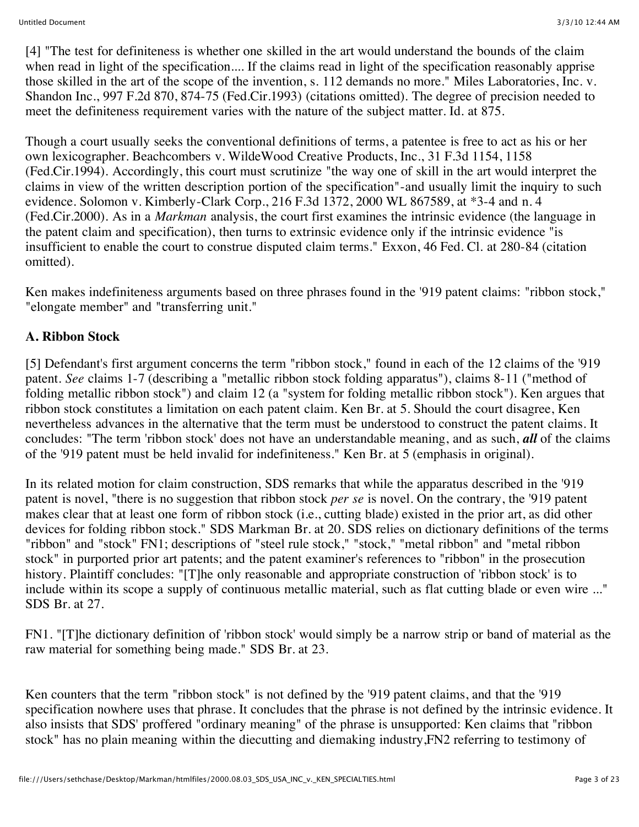[4] "The test for definiteness is whether one skilled in the art would understand the bounds of the claim when read in light of the specification.... If the claims read in light of the specification reasonably apprise those skilled in the art of the scope of the invention, s. 112 demands no more." Miles Laboratories, Inc. v. Shandon Inc., 997 F.2d 870, 874-75 (Fed.Cir.1993) (citations omitted). The degree of precision needed to meet the definiteness requirement varies with the nature of the subject matter. Id. at 875.

Though a court usually seeks the conventional definitions of terms, a patentee is free to act as his or her own lexicographer. Beachcombers v. WildeWood Creative Products, Inc., 31 F.3d 1154, 1158 (Fed.Cir.1994). Accordingly, this court must scrutinize "the way one of skill in the art would interpret the claims in view of the written description portion of the specification"-and usually limit the inquiry to such evidence. Solomon v. Kimberly-Clark Corp., 216 F.3d 1372, 2000 WL 867589, at \*3-4 and n. 4 (Fed.Cir.2000). As in a *Markman* analysis, the court first examines the intrinsic evidence (the language in the patent claim and specification), then turns to extrinsic evidence only if the intrinsic evidence "is insufficient to enable the court to construe disputed claim terms." Exxon, 46 Fed. Cl. at 280-84 (citation omitted).

Ken makes indefiniteness arguments based on three phrases found in the '919 patent claims: "ribbon stock," "elongate member" and "transferring unit."

# **A. Ribbon Stock**

[5] Defendant's first argument concerns the term "ribbon stock," found in each of the 12 claims of the '919 patent. *See* claims 1-7 (describing a "metallic ribbon stock folding apparatus"), claims 8-11 ("method of folding metallic ribbon stock") and claim 12 (a "system for folding metallic ribbon stock"). Ken argues that ribbon stock constitutes a limitation on each patent claim. Ken Br. at 5. Should the court disagree, Ken nevertheless advances in the alternative that the term must be understood to construct the patent claims. It concludes: "The term 'ribbon stock' does not have an understandable meaning, and as such, *all* of the claims of the '919 patent must be held invalid for indefiniteness." Ken Br. at 5 (emphasis in original).

In its related motion for claim construction, SDS remarks that while the apparatus described in the '919 patent is novel, "there is no suggestion that ribbon stock *per se* is novel. On the contrary, the '919 patent makes clear that at least one form of ribbon stock (i.e., cutting blade) existed in the prior art, as did other devices for folding ribbon stock." SDS Markman Br. at 20. SDS relies on dictionary definitions of the terms "ribbon" and "stock" FN1; descriptions of "steel rule stock," "stock," "metal ribbon" and "metal ribbon stock" in purported prior art patents; and the patent examiner's references to "ribbon" in the prosecution history. Plaintiff concludes: "[T]he only reasonable and appropriate construction of 'ribbon stock' is to include within its scope a supply of continuous metallic material, such as flat cutting blade or even wire ..." SDS Br. at 27.

FN1. "[T]he dictionary definition of 'ribbon stock' would simply be a narrow strip or band of material as the raw material for something being made." SDS Br. at 23.

Ken counters that the term "ribbon stock" is not defined by the '919 patent claims, and that the '919 specification nowhere uses that phrase. It concludes that the phrase is not defined by the intrinsic evidence. It also insists that SDS' proffered "ordinary meaning" of the phrase is unsupported: Ken claims that "ribbon stock" has no plain meaning within the diecutting and diemaking industry,FN2 referring to testimony of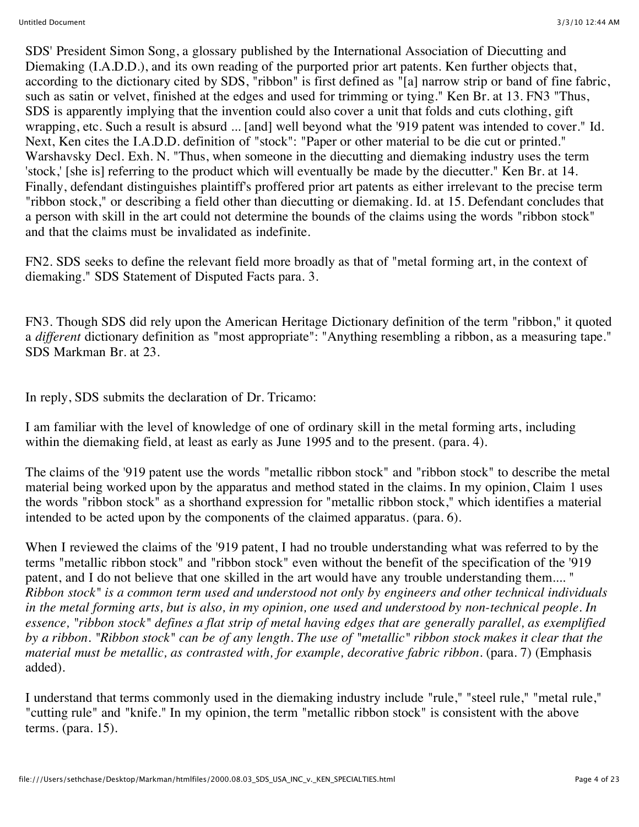SDS' President Simon Song, a glossary published by the International Association of Diecutting and Diemaking (I.A.D.D.), and its own reading of the purported prior art patents. Ken further objects that, according to the dictionary cited by SDS, "ribbon" is first defined as "[a] narrow strip or band of fine fabric, such as satin or velvet, finished at the edges and used for trimming or tying." Ken Br. at 13. FN3 "Thus, SDS is apparently implying that the invention could also cover a unit that folds and cuts clothing, gift wrapping, etc. Such a result is absurd ... [and] well beyond what the '919 patent was intended to cover." Id. Next, Ken cites the I.A.D.D. definition of "stock": "Paper or other material to be die cut or printed." Warshavsky Decl. Exh. N. "Thus, when someone in the diecutting and diemaking industry uses the term 'stock,' [she is] referring to the product which will eventually be made by the diecutter." Ken Br. at 14. Finally, defendant distinguishes plaintiff's proffered prior art patents as either irrelevant to the precise term "ribbon stock," or describing a field other than diecutting or diemaking. Id. at 15. Defendant concludes that a person with skill in the art could not determine the bounds of the claims using the words "ribbon stock" and that the claims must be invalidated as indefinite.

FN2. SDS seeks to define the relevant field more broadly as that of "metal forming art, in the context of diemaking." SDS Statement of Disputed Facts para. 3.

FN3. Though SDS did rely upon the American Heritage Dictionary definition of the term "ribbon," it quoted a *different* dictionary definition as "most appropriate": "Anything resembling a ribbon, as a measuring tape." SDS Markman Br. at 23.

In reply, SDS submits the declaration of Dr. Tricamo:

I am familiar with the level of knowledge of one of ordinary skill in the metal forming arts, including within the diemaking field, at least as early as June 1995 and to the present. (para. 4).

The claims of the '919 patent use the words "metallic ribbon stock" and "ribbon stock" to describe the metal material being worked upon by the apparatus and method stated in the claims. In my opinion, Claim 1 uses the words "ribbon stock" as a shorthand expression for "metallic ribbon stock," which identifies a material intended to be acted upon by the components of the claimed apparatus. (para. 6).

When I reviewed the claims of the '919 patent, I had no trouble understanding what was referred to by the terms "metallic ribbon stock" and "ribbon stock" even without the benefit of the specification of the '919 patent, and I do not believe that one skilled in the art would have any trouble understanding them.... " *Ribbon stock" is a common term used and understood not only by engineers and other technical individuals in the metal forming arts, but is also, in my opinion, one used and understood by non-technical people. In essence, "ribbon stock" defines a flat strip of metal having edges that are generally parallel, as exemplified by a ribbon. "Ribbon stock" can be of any length. The use of "metallic" ribbon stock makes it clear that the material must be metallic, as contrasted with, for example, decorative fabric ribbon.* (para. 7) (Emphasis added).

I understand that terms commonly used in the diemaking industry include "rule," "steel rule," "metal rule," "cutting rule" and "knife." In my opinion, the term "metallic ribbon stock" is consistent with the above terms. (para. 15).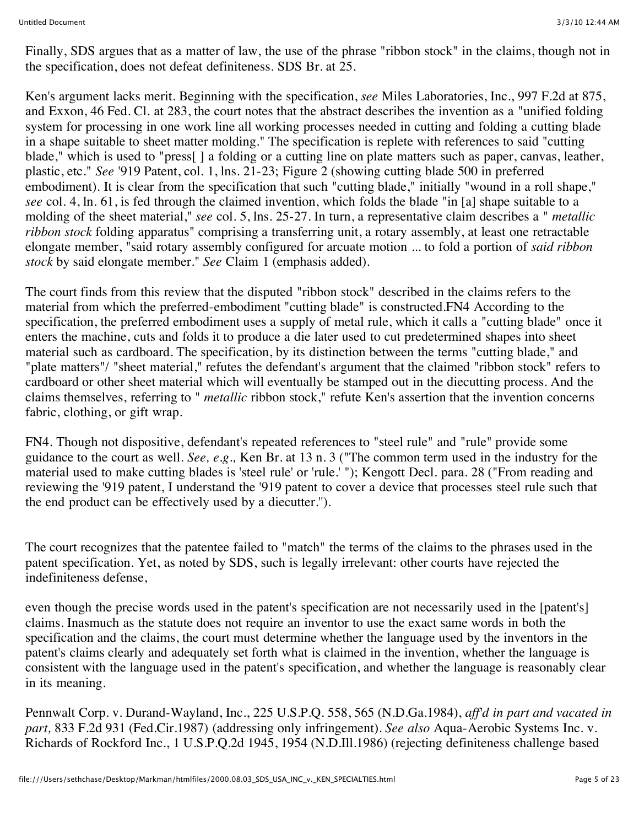Finally, SDS argues that as a matter of law, the use of the phrase "ribbon stock" in the claims, though not in the specification, does not defeat definiteness. SDS Br. at 25.

Ken's argument lacks merit. Beginning with the specification, *see* Miles Laboratories, Inc., 997 F.2d at 875, and Exxon, 46 Fed. Cl. at 283, the court notes that the abstract describes the invention as a "unified folding system for processing in one work line all working processes needed in cutting and folding a cutting blade in a shape suitable to sheet matter molding." The specification is replete with references to said "cutting blade," which is used to "press[ ] a folding or a cutting line on plate matters such as paper, canvas, leather, plastic, etc." *See* '919 Patent, col. 1, lns. 21-23; Figure 2 (showing cutting blade 500 in preferred embodiment). It is clear from the specification that such "cutting blade," initially "wound in a roll shape," *see* col. 4, ln. 61, is fed through the claimed invention, which folds the blade "in [a] shape suitable to a molding of the sheet material," *see* col. 5, lns. 25-27. In turn, a representative claim describes a " *metallic ribbon stock* folding apparatus" comprising a transferring unit, a rotary assembly, at least one retractable elongate member, "said rotary assembly configured for arcuate motion ... to fold a portion of *said ribbon stock* by said elongate member." *See* Claim 1 (emphasis added).

The court finds from this review that the disputed "ribbon stock" described in the claims refers to the material from which the preferred-embodiment "cutting blade" is constructed.FN4 According to the specification, the preferred embodiment uses a supply of metal rule, which it calls a "cutting blade" once it enters the machine, cuts and folds it to produce a die later used to cut predetermined shapes into sheet material such as cardboard. The specification, by its distinction between the terms "cutting blade," and "plate matters"/ "sheet material," refutes the defendant's argument that the claimed "ribbon stock" refers to cardboard or other sheet material which will eventually be stamped out in the diecutting process. And the claims themselves, referring to " *metallic* ribbon stock," refute Ken's assertion that the invention concerns fabric, clothing, or gift wrap.

FN4. Though not dispositive, defendant's repeated references to "steel rule" and "rule" provide some guidance to the court as well. *See, e.g.,* Ken Br. at 13 n. 3 ("The common term used in the industry for the material used to make cutting blades is 'steel rule' or 'rule.' "); Kengott Decl. para. 28 ("From reading and reviewing the '919 patent, I understand the '919 patent to cover a device that processes steel rule such that the end product can be effectively used by a diecutter.'').

The court recognizes that the patentee failed to "match" the terms of the claims to the phrases used in the patent specification. Yet, as noted by SDS, such is legally irrelevant: other courts have rejected the indefiniteness defense,

even though the precise words used in the patent's specification are not necessarily used in the [patent's] claims. Inasmuch as the statute does not require an inventor to use the exact same words in both the specification and the claims, the court must determine whether the language used by the inventors in the patent's claims clearly and adequately set forth what is claimed in the invention, whether the language is consistent with the language used in the patent's specification, and whether the language is reasonably clear in its meaning.

Pennwalt Corp. v. Durand-Wayland, Inc., 225 U.S.P.Q. 558, 565 (N.D.Ga.1984), *aff'd in part and vacated in part,* 833 F.2d 931 (Fed.Cir.1987) (addressing only infringement). *See also* Aqua-Aerobic Systems Inc. v. Richards of Rockford Inc., 1 U.S.P.Q.2d 1945, 1954 (N.D.Ill.1986) (rejecting definiteness challenge based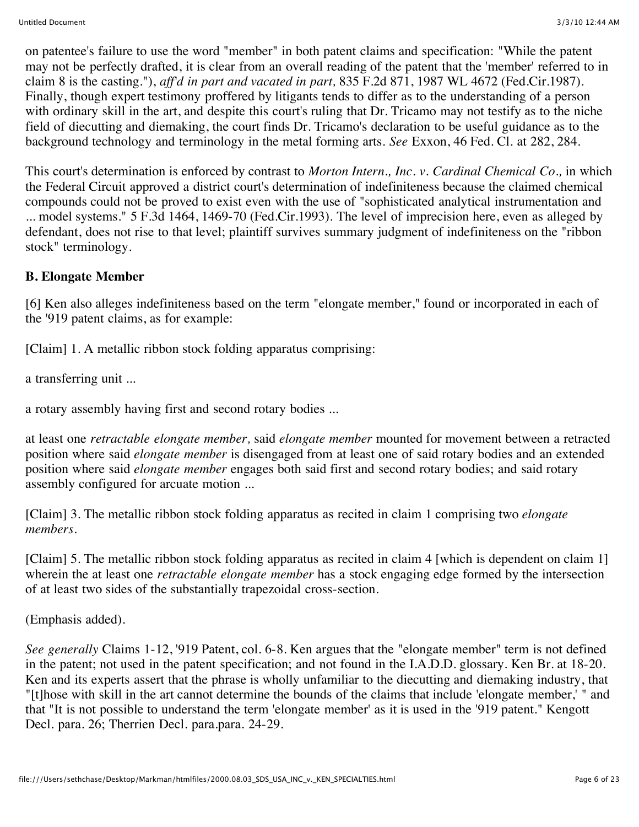on patentee's failure to use the word "member" in both patent claims and specification: "While the patent may not be perfectly drafted, it is clear from an overall reading of the patent that the 'member' referred to in claim 8 is the casting."), *aff'd in part and vacated in part,* 835 F.2d 871, 1987 WL 4672 (Fed.Cir.1987). Finally, though expert testimony proffered by litigants tends to differ as to the understanding of a person with ordinary skill in the art, and despite this court's ruling that Dr. Tricamo may not testify as to the niche field of diecutting and diemaking, the court finds Dr. Tricamo's declaration to be useful guidance as to the background technology and terminology in the metal forming arts. *See* Exxon, 46 Fed. Cl. at 282, 284.

This court's determination is enforced by contrast to *Morton Intern., Inc. v. Cardinal Chemical Co.,* in which the Federal Circuit approved a district court's determination of indefiniteness because the claimed chemical compounds could not be proved to exist even with the use of "sophisticated analytical instrumentation and ... model systems." 5 F.3d 1464, 1469-70 (Fed.Cir.1993). The level of imprecision here, even as alleged by defendant, does not rise to that level; plaintiff survives summary judgment of indefiniteness on the "ribbon stock" terminology.

## **B. Elongate Member**

[6] Ken also alleges indefiniteness based on the term "elongate member," found or incorporated in each of the '919 patent claims, as for example:

[Claim] 1. A metallic ribbon stock folding apparatus comprising:

a transferring unit ...

a rotary assembly having first and second rotary bodies ...

at least one *retractable elongate member,* said *elongate member* mounted for movement between a retracted position where said *elongate member* is disengaged from at least one of said rotary bodies and an extended position where said *elongate member* engages both said first and second rotary bodies; and said rotary assembly configured for arcuate motion ...

[Claim] 3. The metallic ribbon stock folding apparatus as recited in claim 1 comprising two *elongate members.*

[Claim] 5. The metallic ribbon stock folding apparatus as recited in claim 4 [which is dependent on claim 1] wherein the at least one *retractable elongate member* has a stock engaging edge formed by the intersection of at least two sides of the substantially trapezoidal cross-section.

(Emphasis added).

*See generally* Claims 1-12, '919 Patent, col. 6-8. Ken argues that the "elongate member" term is not defined in the patent; not used in the patent specification; and not found in the I.A.D.D. glossary. Ken Br. at 18-20. Ken and its experts assert that the phrase is wholly unfamiliar to the diecutting and diemaking industry, that "[t]hose with skill in the art cannot determine the bounds of the claims that include 'elongate member,' " and that "It is not possible to understand the term 'elongate member' as it is used in the '919 patent." Kengott Decl. para. 26; Therrien Decl. para.para. 24-29.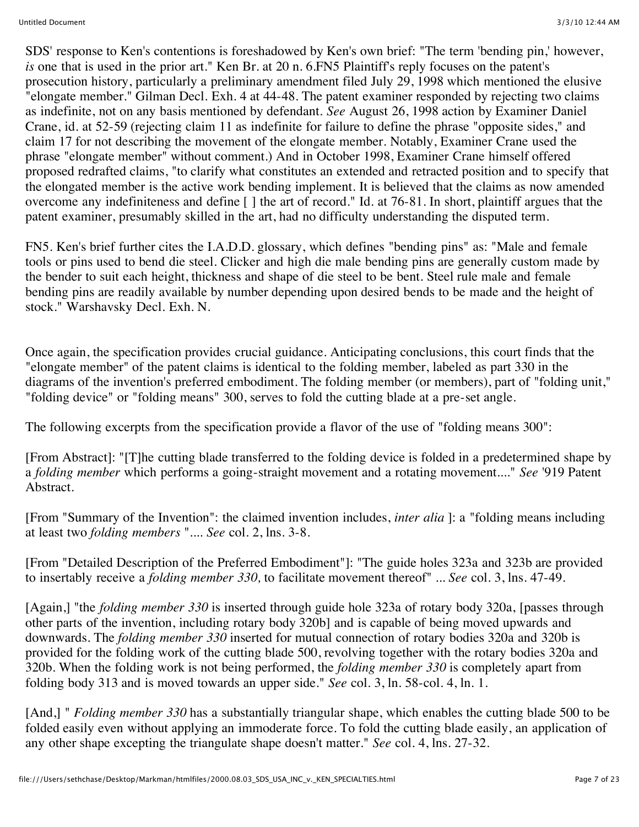SDS' response to Ken's contentions is foreshadowed by Ken's own brief: "The term 'bending pin,' however, *is* one that is used in the prior art." Ken Br. at 20 n. 6.FN5 Plaintiff's reply focuses on the patent's prosecution history, particularly a preliminary amendment filed July 29, 1998 which mentioned the elusive "elongate member." Gilman Decl. Exh. 4 at 44-48. The patent examiner responded by rejecting two claims as indefinite, not on any basis mentioned by defendant. *See* August 26, 1998 action by Examiner Daniel Crane, id. at 52-59 (rejecting claim 11 as indefinite for failure to define the phrase "opposite sides," and claim 17 for not describing the movement of the elongate member. Notably, Examiner Crane used the phrase "elongate member" without comment.) And in October 1998, Examiner Crane himself offered proposed redrafted claims, "to clarify what constitutes an extended and retracted position and to specify that the elongated member is the active work bending implement. It is believed that the claims as now amended overcome any indefiniteness and define [ ] the art of record." Id. at 76-81. In short, plaintiff argues that the patent examiner, presumably skilled in the art, had no difficulty understanding the disputed term.

FN5. Ken's brief further cites the I.A.D.D. glossary, which defines "bending pins" as: "Male and female tools or pins used to bend die steel. Clicker and high die male bending pins are generally custom made by the bender to suit each height, thickness and shape of die steel to be bent. Steel rule male and female bending pins are readily available by number depending upon desired bends to be made and the height of stock." Warshavsky Decl. Exh. N.

Once again, the specification provides crucial guidance. Anticipating conclusions, this court finds that the "elongate member" of the patent claims is identical to the folding member, labeled as part 330 in the diagrams of the invention's preferred embodiment. The folding member (or members), part of "folding unit," "folding device" or "folding means" 300, serves to fold the cutting blade at a pre-set angle.

The following excerpts from the specification provide a flavor of the use of "folding means 300":

[From Abstract]: "[T]he cutting blade transferred to the folding device is folded in a predetermined shape by a *folding member* which performs a going-straight movement and a rotating movement...." *See* '919 Patent Abstract.

[From "Summary of the Invention": the claimed invention includes, *inter alia* ]: a "folding means including at least two *folding members* ".... *See* col. 2, lns. 3-8.

[From "Detailed Description of the Preferred Embodiment"]: "The guide holes 323a and 323b are provided to insertably receive a *folding member 330,* to facilitate movement thereof" ... *See* col. 3, lns. 47-49.

[Again,] "the *folding member 330* is inserted through guide hole 323a of rotary body 320a, [passes through other parts of the invention, including rotary body 320b] and is capable of being moved upwards and downwards. The *folding member 330* inserted for mutual connection of rotary bodies 320a and 320b is provided for the folding work of the cutting blade 500, revolving together with the rotary bodies 320a and 320b. When the folding work is not being performed, the *folding member 330* is completely apart from folding body 313 and is moved towards an upper side." *See* col. 3, ln. 58-col. 4, ln. 1.

[And,] " *Folding member 330* has a substantially triangular shape, which enables the cutting blade 500 to be folded easily even without applying an immoderate force. To fold the cutting blade easily, an application of any other shape excepting the triangulate shape doesn't matter." *See* col. 4, lns. 27-32.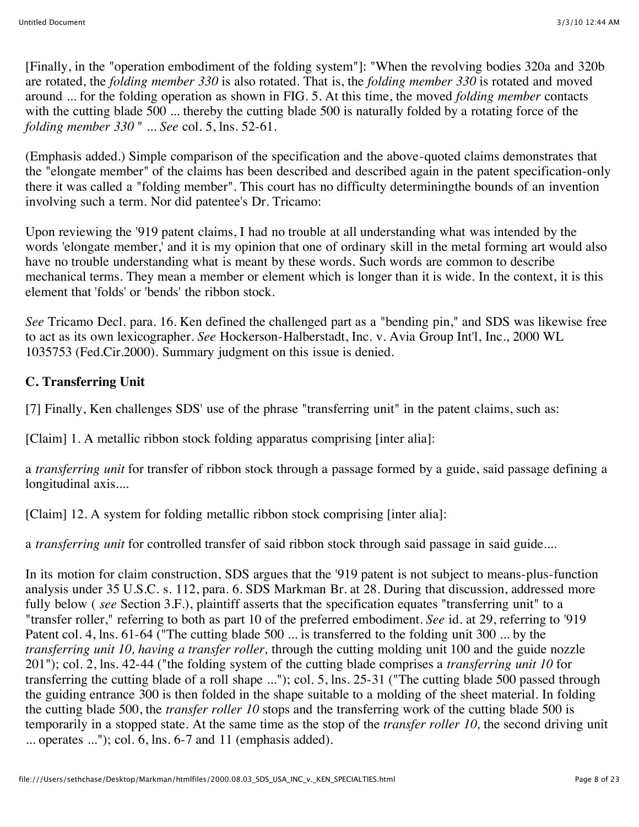[Finally, in the "operation embodiment of the folding system"]: "When the revolving bodies 320a and 320b are rotated, the *folding member 330* is also rotated. That is, the *folding member 330* is rotated and moved around ... for the folding operation as shown in FIG. 5. At this time, the moved *folding member* contacts with the cutting blade 500 ... thereby the cutting blade 500 is naturally folded by a rotating force of the *folding member 330* " ... *See* col. 5, lns. 52-61.

(Emphasis added.) Simple comparison of the specification and the above-quoted claims demonstrates that the "elongate member" of the claims has been described and described again in the patent specification-only there it was called a "folding member". This court has no difficulty determiningthe bounds of an invention involving such a term. Nor did patentee's Dr. Tricamo:

Upon reviewing the '919 patent claims, I had no trouble at all understanding what was intended by the words 'elongate member,' and it is my opinion that one of ordinary skill in the metal forming art would also have no trouble understanding what is meant by these words. Such words are common to describe mechanical terms. They mean a member or element which is longer than it is wide. In the context, it is this element that 'folds' or 'bends' the ribbon stock.

*See* Tricamo Decl. para. 16. Ken defined the challenged part as a "bending pin," and SDS was likewise free to act as its own lexicographer. *See* Hockerson-Halberstadt, Inc. v. Avia Group Int'l, Inc., 2000 WL 1035753 (Fed.Cir.2000). Summary judgment on this issue is denied.

## **C. Transferring Unit**

[7] Finally, Ken challenges SDS' use of the phrase "transferring unit" in the patent claims, such as:

[Claim] 1. A metallic ribbon stock folding apparatus comprising [inter alia]:

a *transferring unit* for transfer of ribbon stock through a passage formed by a guide, said passage defining a longitudinal axis....

[Claim] 12. A system for folding metallic ribbon stock comprising [inter alia]:

a *transferring unit* for controlled transfer of said ribbon stock through said passage in said guide....

In its motion for claim construction, SDS argues that the '919 patent is not subject to means-plus-function analysis under 35 U.S.C. s. 112, para. 6. SDS Markman Br. at 28. During that discussion, addressed more fully below ( *see* Section 3.F.), plaintiff asserts that the specification equates "transferring unit" to a "transfer roller," referring to both as part 10 of the preferred embodiment. *See* id. at 29, referring to '919 Patent col. 4, lns. 61-64 ("The cutting blade 500 ... is transferred to the folding unit 300 ... by the *transferring unit 10, having a transfer roller,* through the cutting molding unit 100 and the guide nozzle 201"); col. 2, lns. 42-44 ("the folding system of the cutting blade comprises a *transferring unit 10* for transferring the cutting blade of a roll shape ..."); col. 5, lns. 25-31 ("The cutting blade 500 passed through the guiding entrance 300 is then folded in the shape suitable to a molding of the sheet material. In folding the cutting blade 500, the *transfer roller 10* stops and the transferring work of the cutting blade 500 is temporarily in a stopped state. At the same time as the stop of the *transfer roller 10,* the second driving unit ... operates ..."); col. 6, lns. 6-7 and 11 (emphasis added).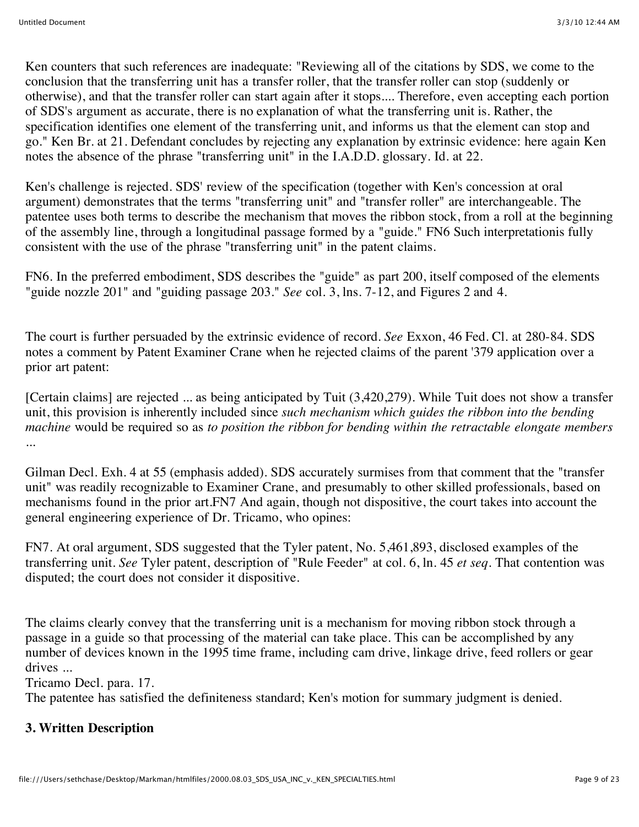Ken counters that such references are inadequate: "Reviewing all of the citations by SDS, we come to the conclusion that the transferring unit has a transfer roller, that the transfer roller can stop (suddenly or otherwise), and that the transfer roller can start again after it stops.... Therefore, even accepting each portion of SDS's argument as accurate, there is no explanation of what the transferring unit is. Rather, the specification identifies one element of the transferring unit, and informs us that the element can stop and go." Ken Br. at 21. Defendant concludes by rejecting any explanation by extrinsic evidence: here again Ken notes the absence of the phrase "transferring unit" in the I.A.D.D. glossary. Id. at 22.

Ken's challenge is rejected. SDS' review of the specification (together with Ken's concession at oral argument) demonstrates that the terms "transferring unit" and "transfer roller" are interchangeable. The patentee uses both terms to describe the mechanism that moves the ribbon stock, from a roll at the beginning of the assembly line, through a longitudinal passage formed by a "guide." FN6 Such interpretationis fully consistent with the use of the phrase "transferring unit" in the patent claims.

FN6. In the preferred embodiment, SDS describes the "guide" as part 200, itself composed of the elements "guide nozzle 201" and "guiding passage 203." *See* col. 3, lns. 7-12, and Figures 2 and 4.

The court is further persuaded by the extrinsic evidence of record. *See* Exxon, 46 Fed. Cl. at 280-84. SDS notes a comment by Patent Examiner Crane when he rejected claims of the parent '379 application over a prior art patent:

[Certain claims] are rejected ... as being anticipated by Tuit (3,420,279). While Tuit does not show a transfer unit, this provision is inherently included since *such mechanism which guides the ribbon into the bending machine* would be required so as *to position the ribbon for bending within the retractable elongate members* ...

Gilman Decl. Exh. 4 at 55 (emphasis added). SDS accurately surmises from that comment that the "transfer unit" was readily recognizable to Examiner Crane, and presumably to other skilled professionals, based on mechanisms found in the prior art.FN7 And again, though not dispositive, the court takes into account the general engineering experience of Dr. Tricamo, who opines:

FN7. At oral argument, SDS suggested that the Tyler patent, No. 5,461,893, disclosed examples of the transferring unit. *See* Tyler patent, description of "Rule Feeder" at col. 6, ln. 45 *et seq.* That contention was disputed; the court does not consider it dispositive.

The claims clearly convey that the transferring unit is a mechanism for moving ribbon stock through a passage in a guide so that processing of the material can take place. This can be accomplished by any number of devices known in the 1995 time frame, including cam drive, linkage drive, feed rollers or gear drives ...

Tricamo Decl. para. 17.

The patentee has satisfied the definiteness standard; Ken's motion for summary judgment is denied.

### **3. Written Description**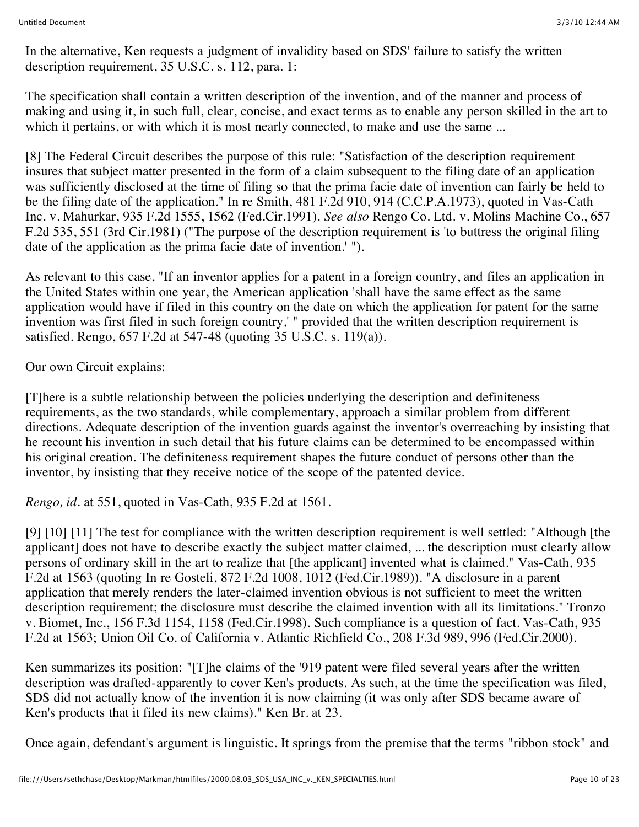In the alternative, Ken requests a judgment of invalidity based on SDS' failure to satisfy the written description requirement, 35 U.S.C. s. 112, para. 1:

The specification shall contain a written description of the invention, and of the manner and process of making and using it, in such full, clear, concise, and exact terms as to enable any person skilled in the art to which it pertains, or with which it is most nearly connected, to make and use the same ...

[8] The Federal Circuit describes the purpose of this rule: "Satisfaction of the description requirement insures that subject matter presented in the form of a claim subsequent to the filing date of an application was sufficiently disclosed at the time of filing so that the prima facie date of invention can fairly be held to be the filing date of the application." In re Smith, 481 F.2d 910, 914 (C.C.P.A.1973), quoted in Vas-Cath Inc. v. Mahurkar, 935 F.2d 1555, 1562 (Fed.Cir.1991). *See also* Rengo Co. Ltd. v. Molins Machine Co., 657 F.2d 535, 551 (3rd Cir.1981) ("The purpose of the description requirement is 'to buttress the original filing date of the application as the prima facie date of invention.' ").

As relevant to this case, "If an inventor applies for a patent in a foreign country, and files an application in the United States within one year, the American application 'shall have the same effect as the same application would have if filed in this country on the date on which the application for patent for the same invention was first filed in such foreign country,' " provided that the written description requirement is satisfied. Rengo, 657 F.2d at 547-48 (quoting 35 U.S.C. s. 119(a)).

Our own Circuit explains:

[T]here is a subtle relationship between the policies underlying the description and definiteness requirements, as the two standards, while complementary, approach a similar problem from different directions. Adequate description of the invention guards against the inventor's overreaching by insisting that he recount his invention in such detail that his future claims can be determined to be encompassed within his original creation. The definiteness requirement shapes the future conduct of persons other than the inventor, by insisting that they receive notice of the scope of the patented device.

*Rengo, id.* at 551, quoted in Vas-Cath, 935 F.2d at 1561.

[9] [10] [11] The test for compliance with the written description requirement is well settled: "Although [the applicant] does not have to describe exactly the subject matter claimed, ... the description must clearly allow persons of ordinary skill in the art to realize that [the applicant] invented what is claimed." Vas-Cath, 935 F.2d at 1563 (quoting In re Gosteli, 872 F.2d 1008, 1012 (Fed.Cir.1989)). "A disclosure in a parent application that merely renders the later-claimed invention obvious is not sufficient to meet the written description requirement; the disclosure must describe the claimed invention with all its limitations." Tronzo v. Biomet, Inc., 156 F.3d 1154, 1158 (Fed.Cir.1998). Such compliance is a question of fact. Vas-Cath, 935 F.2d at 1563; Union Oil Co. of California v. Atlantic Richfield Co., 208 F.3d 989, 996 (Fed.Cir.2000).

Ken summarizes its position: "[T]he claims of the '919 patent were filed several years after the written description was drafted-apparently to cover Ken's products. As such, at the time the specification was filed, SDS did not actually know of the invention it is now claiming (it was only after SDS became aware of Ken's products that it filed its new claims)." Ken Br. at 23.

Once again, defendant's argument is linguistic. It springs from the premise that the terms "ribbon stock" and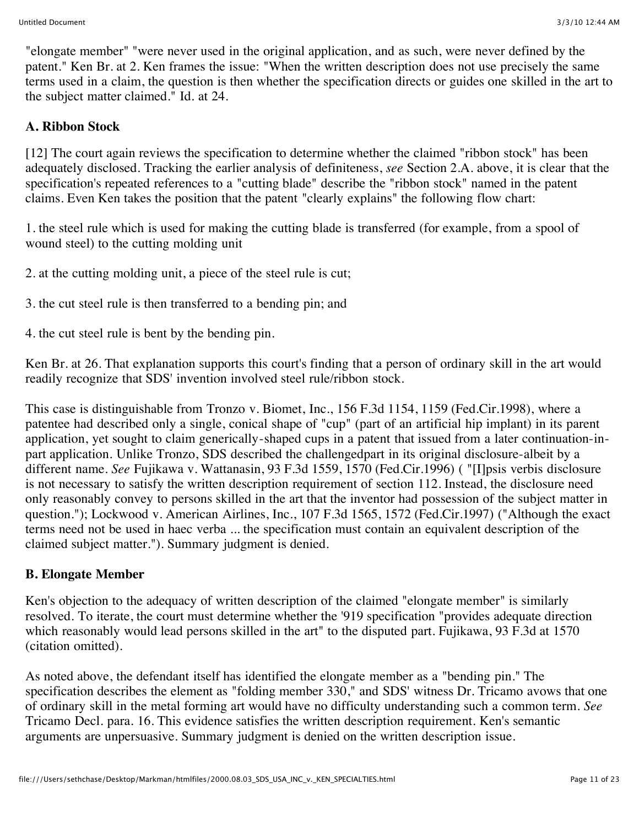"elongate member" "were never used in the original application, and as such, were never defined by the patent." Ken Br. at 2. Ken frames the issue: "When the written description does not use precisely the same terms used in a claim, the question is then whether the specification directs or guides one skilled in the art to the subject matter claimed." Id. at 24.

# **A. Ribbon Stock**

[12] The court again reviews the specification to determine whether the claimed "ribbon stock" has been adequately disclosed. Tracking the earlier analysis of definiteness, *see* Section 2.A. above, it is clear that the specification's repeated references to a "cutting blade" describe the "ribbon stock" named in the patent claims. Even Ken takes the position that the patent "clearly explains" the following flow chart:

1. the steel rule which is used for making the cutting blade is transferred (for example, from a spool of wound steel) to the cutting molding unit

2. at the cutting molding unit, a piece of the steel rule is cut;

3. the cut steel rule is then transferred to a bending pin; and

4. the cut steel rule is bent by the bending pin.

Ken Br. at 26. That explanation supports this court's finding that a person of ordinary skill in the art would readily recognize that SDS' invention involved steel rule/ribbon stock.

This case is distinguishable from Tronzo v. Biomet, Inc., 156 F.3d 1154, 1159 (Fed.Cir.1998), where a patentee had described only a single, conical shape of "cup" (part of an artificial hip implant) in its parent application, yet sought to claim generically-shaped cups in a patent that issued from a later continuation-inpart application. Unlike Tronzo, SDS described the challengedpart in its original disclosure-albeit by a different name. *See* Fujikawa v. Wattanasin, 93 F.3d 1559, 1570 (Fed.Cir.1996) ( "[I]psis verbis disclosure is not necessary to satisfy the written description requirement of section 112. Instead, the disclosure need only reasonably convey to persons skilled in the art that the inventor had possession of the subject matter in question."); Lockwood v. American Airlines, Inc., 107 F.3d 1565, 1572 (Fed.Cir.1997) ("Although the exact terms need not be used in haec verba ... the specification must contain an equivalent description of the claimed subject matter."). Summary judgment is denied.

### **B. Elongate Member**

Ken's objection to the adequacy of written description of the claimed "elongate member" is similarly resolved. To iterate, the court must determine whether the '919 specification "provides adequate direction which reasonably would lead persons skilled in the art" to the disputed part. Fujikawa, 93 F.3d at 1570 (citation omitted).

As noted above, the defendant itself has identified the elongate member as a "bending pin." The specification describes the element as "folding member 330," and SDS' witness Dr. Tricamo avows that one of ordinary skill in the metal forming art would have no difficulty understanding such a common term. *See* Tricamo Decl. para. 16. This evidence satisfies the written description requirement. Ken's semantic arguments are unpersuasive. Summary judgment is denied on the written description issue.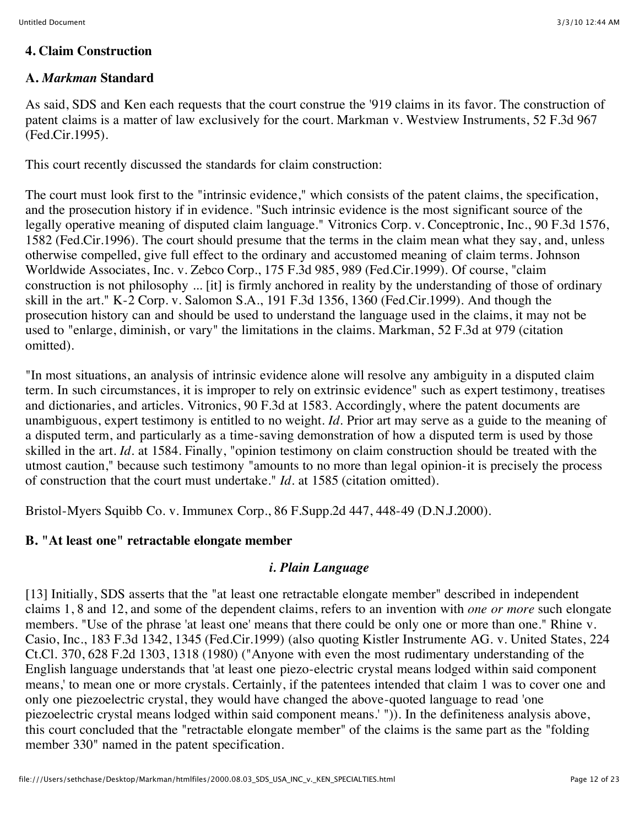### **4. Claim Construction**

### **A.** *Markman* **Standard**

As said, SDS and Ken each requests that the court construe the '919 claims in its favor. The construction of patent claims is a matter of law exclusively for the court. Markman v. Westview Instruments, 52 F.3d 967 (Fed.Cir.1995).

This court recently discussed the standards for claim construction:

The court must look first to the "intrinsic evidence," which consists of the patent claims, the specification, and the prosecution history if in evidence. "Such intrinsic evidence is the most significant source of the legally operative meaning of disputed claim language." Vitronics Corp. v. Conceptronic, Inc., 90 F.3d 1576, 1582 (Fed.Cir.1996). The court should presume that the terms in the claim mean what they say, and, unless otherwise compelled, give full effect to the ordinary and accustomed meaning of claim terms. Johnson Worldwide Associates, Inc. v. Zebco Corp., 175 F.3d 985, 989 (Fed.Cir.1999). Of course, "claim construction is not philosophy ... [it] is firmly anchored in reality by the understanding of those of ordinary skill in the art." K-2 Corp. v. Salomon S.A., 191 F.3d 1356, 1360 (Fed.Cir.1999). And though the prosecution history can and should be used to understand the language used in the claims, it may not be used to "enlarge, diminish, or vary" the limitations in the claims. Markman, 52 F.3d at 979 (citation omitted).

"In most situations, an analysis of intrinsic evidence alone will resolve any ambiguity in a disputed claim term. In such circumstances, it is improper to rely on extrinsic evidence" such as expert testimony, treatises and dictionaries, and articles. Vitronics, 90 F.3d at 1583. Accordingly, where the patent documents are unambiguous, expert testimony is entitled to no weight. *Id.* Prior art may serve as a guide to the meaning of a disputed term, and particularly as a time-saving demonstration of how a disputed term is used by those skilled in the art. *Id.* at 1584. Finally, "opinion testimony on claim construction should be treated with the utmost caution," because such testimony "amounts to no more than legal opinion-it is precisely the process of construction that the court must undertake." *Id.* at 1585 (citation omitted).

Bristol-Myers Squibb Co. v. Immunex Corp., 86 F.Supp.2d 447, 448-49 (D.N.J.2000).

### **B. "At least one" retractable elongate member**

### *i. Plain Language*

[13] Initially, SDS asserts that the "at least one retractable elongate member" described in independent claims 1, 8 and 12, and some of the dependent claims, refers to an invention with *one or more* such elongate members. "Use of the phrase 'at least one' means that there could be only one or more than one." Rhine v. Casio, Inc., 183 F.3d 1342, 1345 (Fed.Cir.1999) (also quoting Kistler Instrumente AG. v. United States, 224 Ct.Cl. 370, 628 F.2d 1303, 1318 (1980) ("Anyone with even the most rudimentary understanding of the English language understands that 'at least one piezo-electric crystal means lodged within said component means,' to mean one or more crystals. Certainly, if the patentees intended that claim 1 was to cover one and only one piezoelectric crystal, they would have changed the above-quoted language to read 'one piezoelectric crystal means lodged within said component means.' ")). In the definiteness analysis above, this court concluded that the "retractable elongate member" of the claims is the same part as the "folding member 330" named in the patent specification.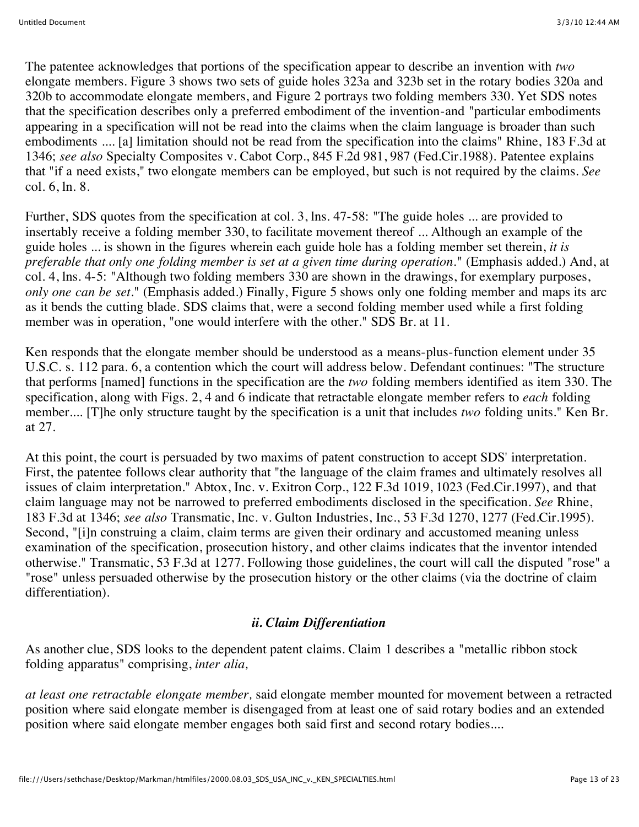The patentee acknowledges that portions of the specification appear to describe an invention with *two* elongate members. Figure 3 shows two sets of guide holes 323a and 323b set in the rotary bodies 320a and 320b to accommodate elongate members, and Figure 2 portrays two folding members 330. Yet SDS notes that the specification describes only a preferred embodiment of the invention-and "particular embodiments appearing in a specification will not be read into the claims when the claim language is broader than such embodiments .... [a] limitation should not be read from the specification into the claims" Rhine, 183 F.3d at 1346; *see also* Specialty Composites v. Cabot Corp., 845 F.2d 981, 987 (Fed.Cir.1988). Patentee explains that "if a need exists," two elongate members can be employed, but such is not required by the claims. *See* col. 6, ln. 8.

Further, SDS quotes from the specification at col. 3, lns. 47-58: "The guide holes ... are provided to insertably receive a folding member 330, to facilitate movement thereof ... Although an example of the guide holes ... is shown in the figures wherein each guide hole has a folding member set therein, *it is preferable that only one folding member is set at a given time during operation.*" (Emphasis added.) And, at col. 4, lns. 4-5: "Although two folding members 330 are shown in the drawings, for exemplary purposes, *only one can be set.*" (Emphasis added.) Finally, Figure 5 shows only one folding member and maps its arc as it bends the cutting blade. SDS claims that, were a second folding member used while a first folding member was in operation, "one would interfere with the other." SDS Br. at 11.

Ken responds that the elongate member should be understood as a means-plus-function element under 35 U.S.C. s. 112 para. 6, a contention which the court will address below. Defendant continues: "The structure that performs [named] functions in the specification are the *two* folding members identified as item 330. The specification, along with Figs. 2, 4 and 6 indicate that retractable elongate member refers to *each* folding member.... [T]he only structure taught by the specification is a unit that includes *two* folding units." Ken Br. at 27.

At this point, the court is persuaded by two maxims of patent construction to accept SDS' interpretation. First, the patentee follows clear authority that "the language of the claim frames and ultimately resolves all issues of claim interpretation." Abtox, Inc. v. Exitron Corp., 122 F.3d 1019, 1023 (Fed.Cir.1997), and that claim language may not be narrowed to preferred embodiments disclosed in the specification. *See* Rhine, 183 F.3d at 1346; *see also* Transmatic, Inc. v. Gulton Industries, Inc., 53 F.3d 1270, 1277 (Fed.Cir.1995). Second, "[i]n construing a claim, claim terms are given their ordinary and accustomed meaning unless examination of the specification, prosecution history, and other claims indicates that the inventor intended otherwise." Transmatic, 53 F.3d at 1277. Following those guidelines, the court will call the disputed "rose" a "rose" unless persuaded otherwise by the prosecution history or the other claims (via the doctrine of claim differentiation).

## *ii. Claim Differentiation*

As another clue, SDS looks to the dependent patent claims. Claim 1 describes a "metallic ribbon stock folding apparatus" comprising, *inter alia,*

*at least one retractable elongate member,* said elongate member mounted for movement between a retracted position where said elongate member is disengaged from at least one of said rotary bodies and an extended position where said elongate member engages both said first and second rotary bodies....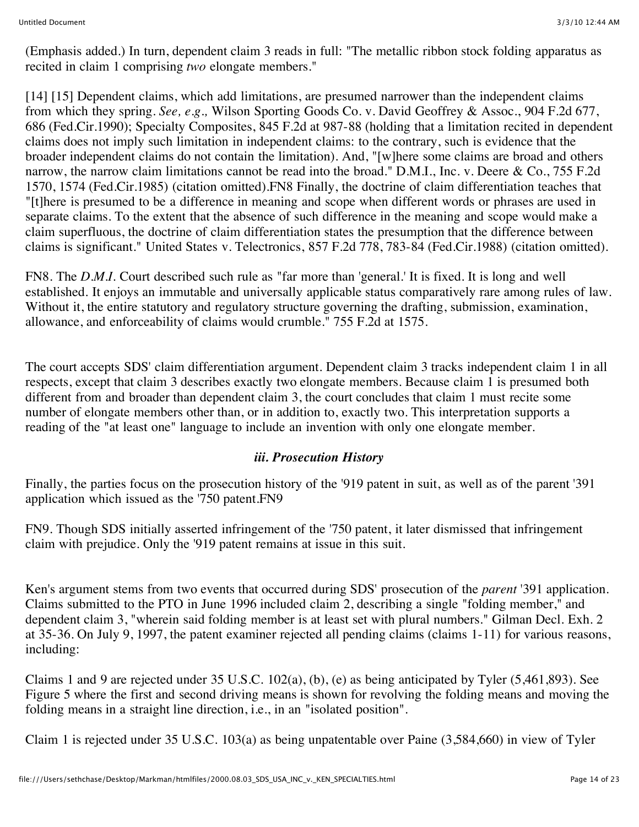(Emphasis added.) In turn, dependent claim 3 reads in full: "The metallic ribbon stock folding apparatus as recited in claim 1 comprising *two* elongate members."

[14] [15] Dependent claims, which add limitations, are presumed narrower than the independent claims from which they spring. *See, e.g.,* Wilson Sporting Goods Co. v. David Geoffrey & Assoc., 904 F.2d 677, 686 (Fed.Cir.1990); Specialty Composites, 845 F.2d at 987-88 (holding that a limitation recited in dependent claims does not imply such limitation in independent claims: to the contrary, such is evidence that the broader independent claims do not contain the limitation). And, "[w]here some claims are broad and others narrow, the narrow claim limitations cannot be read into the broad." D.M.I., Inc. v. Deere & Co., 755 F.2d 1570, 1574 (Fed.Cir.1985) (citation omitted).FN8 Finally, the doctrine of claim differentiation teaches that "[t]here is presumed to be a difference in meaning and scope when different words or phrases are used in separate claims. To the extent that the absence of such difference in the meaning and scope would make a claim superfluous, the doctrine of claim differentiation states the presumption that the difference between claims is significant." United States v. Telectronics, 857 F.2d 778, 783-84 (Fed.Cir.1988) (citation omitted).

FN8. The *D.M.I.* Court described such rule as "far more than 'general.' It is fixed. It is long and well established. It enjoys an immutable and universally applicable status comparatively rare among rules of law. Without it, the entire statutory and regulatory structure governing the drafting, submission, examination, allowance, and enforceability of claims would crumble." 755 F.2d at 1575.

The court accepts SDS' claim differentiation argument. Dependent claim 3 tracks independent claim 1 in all respects, except that claim 3 describes exactly two elongate members. Because claim 1 is presumed both different from and broader than dependent claim 3, the court concludes that claim 1 must recite some number of elongate members other than, or in addition to, exactly two. This interpretation supports a reading of the "at least one" language to include an invention with only one elongate member.

### *iii. Prosecution History*

Finally, the parties focus on the prosecution history of the '919 patent in suit, as well as of the parent '391 application which issued as the '750 patent.FN9

FN9. Though SDS initially asserted infringement of the '750 patent, it later dismissed that infringement claim with prejudice. Only the '919 patent remains at issue in this suit.

Ken's argument stems from two events that occurred during SDS' prosecution of the *parent* '391 application. Claims submitted to the PTO in June 1996 included claim 2, describing a single "folding member," and dependent claim 3, "wherein said folding member is at least set with plural numbers." Gilman Decl. Exh. 2 at 35-36. On July 9, 1997, the patent examiner rejected all pending claims (claims 1-11) for various reasons, including:

Claims 1 and 9 are rejected under 35 U.S.C. 102(a), (b), (e) as being anticipated by Tyler (5,461,893). See Figure 5 where the first and second driving means is shown for revolving the folding means and moving the folding means in a straight line direction, i.e., in an "isolated position".

Claim 1 is rejected under 35 U.S.C. 103(a) as being unpatentable over Paine (3,584,660) in view of Tyler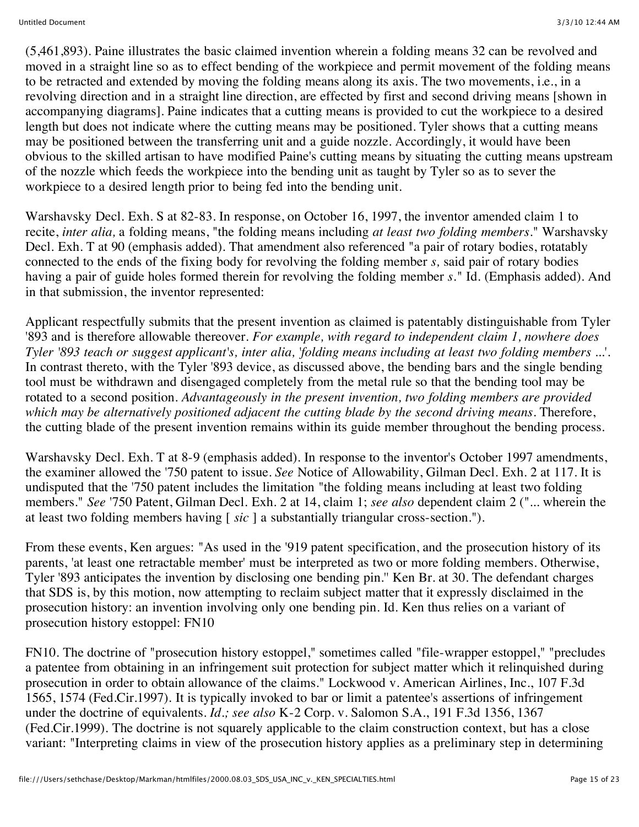(5,461,893). Paine illustrates the basic claimed invention wherein a folding means 32 can be revolved and moved in a straight line so as to effect bending of the workpiece and permit movement of the folding means to be retracted and extended by moving the folding means along its axis. The two movements, i.e., in a revolving direction and in a straight line direction, are effected by first and second driving means [shown in accompanying diagrams]. Paine indicates that a cutting means is provided to cut the workpiece to a desired length but does not indicate where the cutting means may be positioned. Tyler shows that a cutting means may be positioned between the transferring unit and a guide nozzle. Accordingly, it would have been obvious to the skilled artisan to have modified Paine's cutting means by situating the cutting means upstream of the nozzle which feeds the workpiece into the bending unit as taught by Tyler so as to sever the workpiece to a desired length prior to being fed into the bending unit.

Warshavsky Decl. Exh. S at 82-83. In response, on October 16, 1997, the inventor amended claim 1 to recite, *inter alia,* a folding means, "the folding means including *at least two folding members.*" Warshavsky Decl. Exh. T at 90 (emphasis added). That amendment also referenced "a pair of rotary bodies, rotatably connected to the ends of the fixing body for revolving the folding member *s,* said pair of rotary bodies having a pair of guide holes formed therein for revolving the folding member *s.*" Id. (Emphasis added). And in that submission, the inventor represented:

Applicant respectfully submits that the present invention as claimed is patentably distinguishable from Tyler '893 and is therefore allowable thereover. *For example, with regard to independent claim 1, nowhere does Tyler '893 teach or suggest applicant's, inter alia, 'folding means including at least two folding members* ...'. In contrast thereto, with the Tyler '893 device, as discussed above, the bending bars and the single bending tool must be withdrawn and disengaged completely from the metal rule so that the bending tool may be rotated to a second position. *Advantageously in the present invention, two folding members are provided which may be alternatively positioned adjacent the cutting blade by the second driving means.* Therefore, the cutting blade of the present invention remains within its guide member throughout the bending process.

Warshavsky Decl. Exh. T at 8-9 (emphasis added). In response to the inventor's October 1997 amendments, the examiner allowed the '750 patent to issue. *See* Notice of Allowability, Gilman Decl. Exh. 2 at 117. It is undisputed that the '750 patent includes the limitation "the folding means including at least two folding members." *See* '750 Patent, Gilman Decl. Exh. 2 at 14, claim 1; *see also* dependent claim 2 ("... wherein the at least two folding members having [ *sic* ] a substantially triangular cross-section.").

From these events, Ken argues: "As used in the '919 patent specification, and the prosecution history of its parents, 'at least one retractable member' must be interpreted as two or more folding members. Otherwise, Tyler '893 anticipates the invention by disclosing one bending pin.'' Ken Br. at 30. The defendant charges that SDS is, by this motion, now attempting to reclaim subject matter that it expressly disclaimed in the prosecution history: an invention involving only one bending pin. Id. Ken thus relies on a variant of prosecution history estoppel: FN10

FN10. The doctrine of "prosecution history estoppel," sometimes called "file-wrapper estoppel," "precludes a patentee from obtaining in an infringement suit protection for subject matter which it relinquished during prosecution in order to obtain allowance of the claims." Lockwood v. American Airlines, Inc., 107 F.3d 1565, 1574 (Fed.Cir.1997). It is typically invoked to bar or limit a patentee's assertions of infringement under the doctrine of equivalents. *Id.; see also* K-2 Corp. v. Salomon S.A., 191 F.3d 1356, 1367 (Fed.Cir.1999). The doctrine is not squarely applicable to the claim construction context, but has a close variant: "Interpreting claims in view of the prosecution history applies as a preliminary step in determining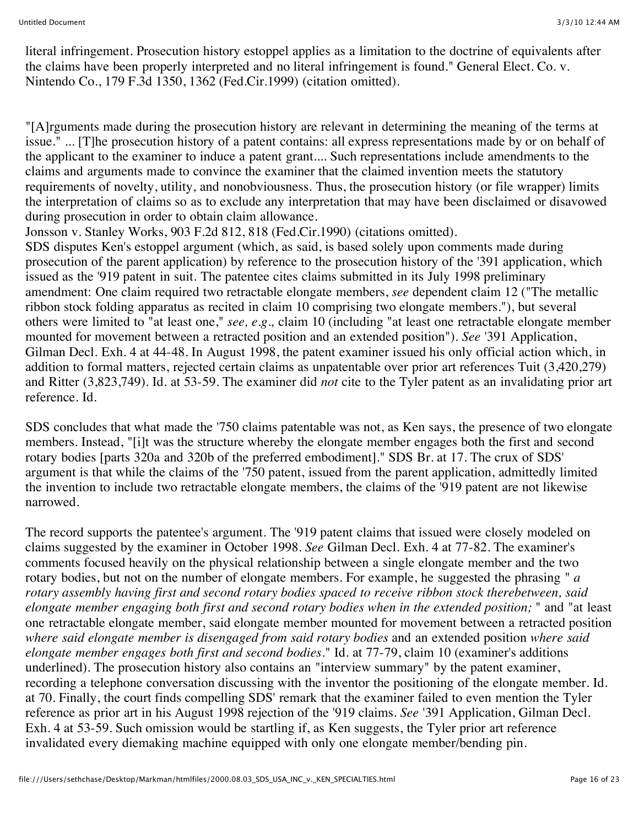literal infringement. Prosecution history estoppel applies as a limitation to the doctrine of equivalents after the claims have been properly interpreted and no literal infringement is found." General Elect. Co. v. Nintendo Co., 179 F.3d 1350, 1362 (Fed.Cir.1999) (citation omitted).

"[A]rguments made during the prosecution history are relevant in determining the meaning of the terms at issue." ... [T]he prosecution history of a patent contains: all express representations made by or on behalf of the applicant to the examiner to induce a patent grant.... Such representations include amendments to the claims and arguments made to convince the examiner that the claimed invention meets the statutory requirements of novelty, utility, and nonobviousness. Thus, the prosecution history (or file wrapper) limits the interpretation of claims so as to exclude any interpretation that may have been disclaimed or disavowed during prosecution in order to obtain claim allowance.

Jonsson v. Stanley Works, 903 F.2d 812, 818 (Fed.Cir.1990) (citations omitted).

SDS disputes Ken's estoppel argument (which, as said, is based solely upon comments made during prosecution of the parent application) by reference to the prosecution history of the '391 application, which issued as the '919 patent in suit. The patentee cites claims submitted in its July 1998 preliminary amendment: One claim required two retractable elongate members, *see* dependent claim 12 ("The metallic ribbon stock folding apparatus as recited in claim 10 comprising two elongate members."), but several others were limited to "at least one," *see, e.g.,* claim 10 (including "at least one retractable elongate member mounted for movement between a retracted position and an extended position"). *See* '391 Application, Gilman Decl. Exh. 4 at 44-48. In August 1998, the patent examiner issued his only official action which, in addition to formal matters, rejected certain claims as unpatentable over prior art references Tuit (3,420,279) and Ritter (3,823,749). Id. at 53-59. The examiner did *not* cite to the Tyler patent as an invalidating prior art reference. Id.

SDS concludes that what made the '750 claims patentable was not, as Ken says, the presence of two elongate members. Instead, "[i]t was the structure whereby the elongate member engages both the first and second rotary bodies [parts 320a and 320b of the preferred embodiment]." SDS Br. at 17. The crux of SDS' argument is that while the claims of the '750 patent, issued from the parent application, admittedly limited the invention to include two retractable elongate members, the claims of the '919 patent are not likewise narrowed.

The record supports the patentee's argument. The '919 patent claims that issued were closely modeled on claims suggested by the examiner in October 1998. *See* Gilman Decl. Exh. 4 at 77-82. The examiner's comments focused heavily on the physical relationship between a single elongate member and the two rotary bodies, but not on the number of elongate members. For example, he suggested the phrasing " *a rotary assembly having first and second rotary bodies spaced to receive ribbon stock therebetween, said elongate member engaging both first and second rotary bodies when in the extended position;* " and "at least one retractable elongate member, said elongate member mounted for movement between a retracted position *where said elongate member is disengaged from said rotary bodies* and an extended position *where said elongate member engages both first and second bodies.*" Id. at 77-79, claim 10 (examiner's additions underlined). The prosecution history also contains an "interview summary" by the patent examiner, recording a telephone conversation discussing with the inventor the positioning of the elongate member. Id. at 70. Finally, the court finds compelling SDS' remark that the examiner failed to even mention the Tyler reference as prior art in his August 1998 rejection of the '919 claims. *See* '391 Application, Gilman Decl. Exh. 4 at 53-59. Such omission would be startling if, as Ken suggests, the Tyler prior art reference invalidated every diemaking machine equipped with only one elongate member/bending pin.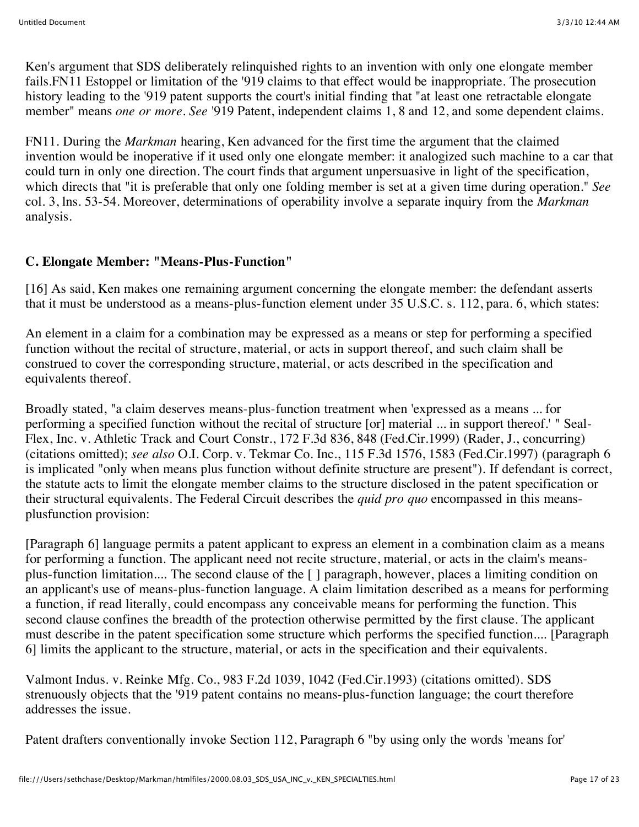Ken's argument that SDS deliberately relinquished rights to an invention with only one elongate member fails.FN11 Estoppel or limitation of the '919 claims to that effect would be inappropriate. The prosecution history leading to the '919 patent supports the court's initial finding that "at least one retractable elongate member" means *one or more. See* '919 Patent, independent claims 1, 8 and 12, and some dependent claims.

FN11. During the *Markman* hearing, Ken advanced for the first time the argument that the claimed invention would be inoperative if it used only one elongate member: it analogized such machine to a car that could turn in only one direction. The court finds that argument unpersuasive in light of the specification, which directs that "it is preferable that only one folding member is set at a given time during operation." *See* col. 3, lns. 53-54. Moreover, determinations of operability involve a separate inquiry from the *Markman* analysis.

# **C. Elongate Member: "Means-Plus-Function"**

[16] As said, Ken makes one remaining argument concerning the elongate member: the defendant asserts that it must be understood as a means-plus-function element under 35 U.S.C. s. 112, para. 6, which states:

An element in a claim for a combination may be expressed as a means or step for performing a specified function without the recital of structure, material, or acts in support thereof, and such claim shall be construed to cover the corresponding structure, material, or acts described in the specification and equivalents thereof.

Broadly stated, "a claim deserves means-plus-function treatment when 'expressed as a means ... for performing a specified function without the recital of structure [or] material ... in support thereof.' " Seal-Flex, Inc. v. Athletic Track and Court Constr., 172 F.3d 836, 848 (Fed.Cir.1999) (Rader, J., concurring) (citations omitted); *see also* O.I. Corp. v. Tekmar Co. Inc., 115 F.3d 1576, 1583 (Fed.Cir.1997) (paragraph 6 is implicated "only when means plus function without definite structure are present"). If defendant is correct, the statute acts to limit the elongate member claims to the structure disclosed in the patent specification or their structural equivalents. The Federal Circuit describes the *quid pro quo* encompassed in this meansplusfunction provision:

[Paragraph 6] language permits a patent applicant to express an element in a combination claim as a means for performing a function. The applicant need not recite structure, material, or acts in the claim's meansplus-function limitation.... The second clause of the [ ] paragraph, however, places a limiting condition on an applicant's use of means-plus-function language. A claim limitation described as a means for performing a function, if read literally, could encompass any conceivable means for performing the function. This second clause confines the breadth of the protection otherwise permitted by the first clause. The applicant must describe in the patent specification some structure which performs the specified function.... [Paragraph 6] limits the applicant to the structure, material, or acts in the specification and their equivalents.

Valmont Indus. v. Reinke Mfg. Co., 983 F.2d 1039, 1042 (Fed.Cir.1993) (citations omitted). SDS strenuously objects that the '919 patent contains no means-plus-function language; the court therefore addresses the issue.

Patent drafters conventionally invoke Section 112, Paragraph 6 "by using only the words 'means for'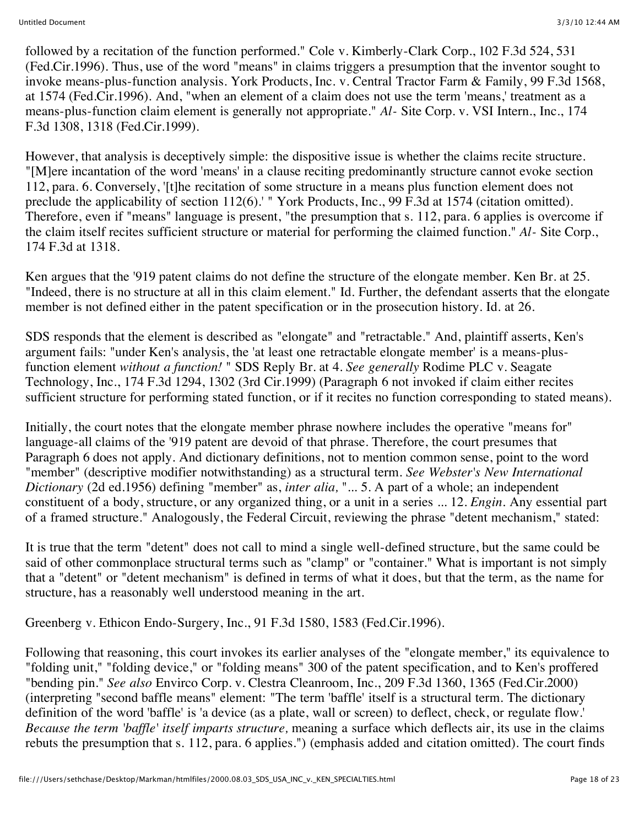followed by a recitation of the function performed." Cole v. Kimberly-Clark Corp., 102 F.3d 524, 531 (Fed.Cir.1996). Thus, use of the word "means" in claims triggers a presumption that the inventor sought to invoke means-plus-function analysis. York Products, Inc. v. Central Tractor Farm & Family, 99 F.3d 1568, at 1574 (Fed.Cir.1996). And, "when an element of a claim does not use the term 'means,' treatment as a means-plus-function claim element is generally not appropriate." *Al-* Site Corp. v. VSI Intern., Inc., 174 F.3d 1308, 1318 (Fed.Cir.1999).

However, that analysis is deceptively simple: the dispositive issue is whether the claims recite structure. "[M]ere incantation of the word 'means' in a clause reciting predominantly structure cannot evoke section 112, para. 6. Conversely, '[t]he recitation of some structure in a means plus function element does not preclude the applicability of section 112(6).' " York Products, Inc., 99 F.3d at 1574 (citation omitted). Therefore, even if "means" language is present, "the presumption that s. 112, para. 6 applies is overcome if the claim itself recites sufficient structure or material for performing the claimed function." *Al-* Site Corp., 174 F.3d at 1318.

Ken argues that the '919 patent claims do not define the structure of the elongate member. Ken Br. at 25. "Indeed, there is no structure at all in this claim element." Id. Further, the defendant asserts that the elongate member is not defined either in the patent specification or in the prosecution history. Id. at 26.

SDS responds that the element is described as "elongate" and "retractable." And, plaintiff asserts, Ken's argument fails: "under Ken's analysis, the 'at least one retractable elongate member' is a means-plusfunction element *without a function!* " SDS Reply Br. at 4. *See generally* Rodime PLC v. Seagate Technology, Inc., 174 F.3d 1294, 1302 (3rd Cir.1999) (Paragraph 6 not invoked if claim either recites sufficient structure for performing stated function, or if it recites no function corresponding to stated means).

Initially, the court notes that the elongate member phrase nowhere includes the operative "means for" language-all claims of the '919 patent are devoid of that phrase. Therefore, the court presumes that Paragraph 6 does not apply. And dictionary definitions, not to mention common sense, point to the word "member" (descriptive modifier notwithstanding) as a structural term. *See Webster's New International Dictionary* (2d ed.1956) defining "member" as, *inter alia,* "... 5. A part of a whole; an independent constituent of a body, structure, or any organized thing, or a unit in a series ... 12. *Engin.* Any essential part of a framed structure." Analogously, the Federal Circuit, reviewing the phrase "detent mechanism," stated:

It is true that the term "detent" does not call to mind a single well-defined structure, but the same could be said of other commonplace structural terms such as "clamp" or "container." What is important is not simply that a "detent" or "detent mechanism" is defined in terms of what it does, but that the term, as the name for structure, has a reasonably well understood meaning in the art.

Greenberg v. Ethicon Endo-Surgery, Inc., 91 F.3d 1580, 1583 (Fed.Cir.1996).

Following that reasoning, this court invokes its earlier analyses of the "elongate member," its equivalence to "folding unit," "folding device," or "folding means" 300 of the patent specification, and to Ken's proffered "bending pin." *See also* Envirco Corp. v. Clestra Cleanroom, Inc., 209 F.3d 1360, 1365 (Fed.Cir.2000) (interpreting "second baffle means" element: "The term 'baffle' itself is a structural term. The dictionary definition of the word 'baffle' is 'a device (as a plate, wall or screen) to deflect, check, or regulate flow.' *Because the term 'baffle' itself imparts structure,* meaning a surface which deflects air, its use in the claims rebuts the presumption that s. 112, para. 6 applies.") (emphasis added and citation omitted). The court finds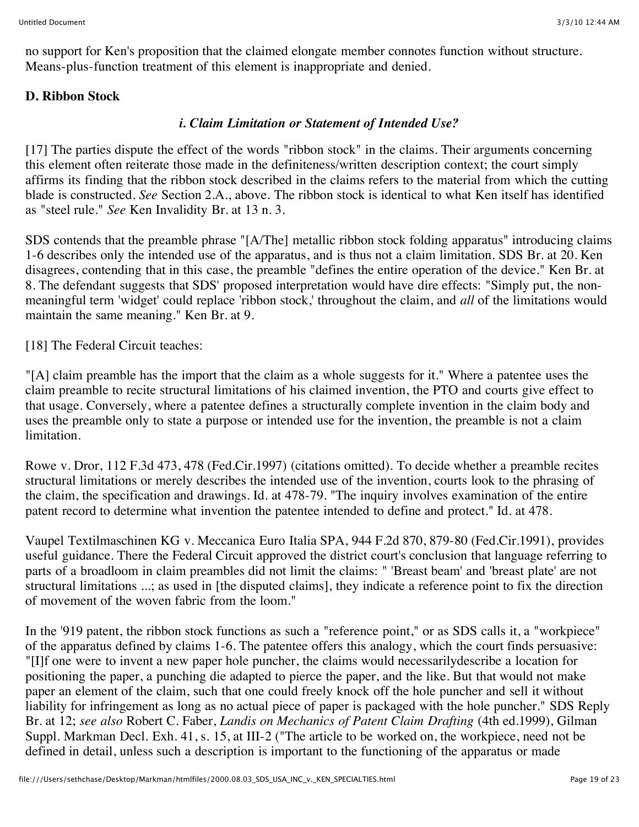no support for Ken's proposition that the claimed elongate member connotes function without structure. Means-plus-function treatment of this element is inappropriate and denied.

## **D. Ribbon Stock**

## *i. Claim Limitation or Statement of Intended Use?*

[17] The parties dispute the effect of the words "ribbon stock" in the claims. Their arguments concerning this element often reiterate those made in the definiteness/written description context; the court simply affirms its finding that the ribbon stock described in the claims refers to the material from which the cutting blade is constructed. *See* Section 2.A., above. The ribbon stock is identical to what Ken itself has identified as "steel rule." *See* Ken Invalidity Br. at 13 n. 3.

SDS contends that the preamble phrase "[A/The] metallic ribbon stock folding apparatus" introducing claims 1-6 describes only the intended use of the apparatus, and is thus not a claim limitation. SDS Br. at 20. Ken disagrees, contending that in this case, the preamble "defines the entire operation of the device." Ken Br. at 8. The defendant suggests that SDS' proposed interpretation would have dire effects: "Simply put, the nonmeaningful term 'widget' could replace 'ribbon stock,' throughout the claim, and *all* of the limitations would maintain the same meaning." Ken Br. at 9.

[18] The Federal Circuit teaches:

"[A] claim preamble has the import that the claim as a whole suggests for it." Where a patentee uses the claim preamble to recite structural limitations of his claimed invention, the PTO and courts give effect to that usage. Conversely, where a patentee defines a structurally complete invention in the claim body and uses the preamble only to state a purpose or intended use for the invention, the preamble is not a claim limitation.

Rowe v. Dror, 112 F.3d 473, 478 (Fed.Cir.1997) (citations omitted). To decide whether a preamble recites structural limitations or merely describes the intended use of the invention, courts look to the phrasing of the claim, the specification and drawings. Id. at 478-79. "The inquiry involves examination of the entire patent record to determine what invention the patentee intended to define and protect." Id. at 478.

Vaupel Textilmaschinen KG v. Meccanica Euro Italia SPA, 944 F.2d 870, 879-80 (Fed.Cir.1991), provides useful guidance. There the Federal Circuit approved the district court's conclusion that language referring to parts of a broadloom in claim preambles did not limit the claims: " 'Breast beam' and 'breast plate' are not structural limitations ...; as used in [the disputed claims], they indicate a reference point to fix the direction of movement of the woven fabric from the loom."

In the '919 patent, the ribbon stock functions as such a "reference point," or as SDS calls it, a "workpiece" of the apparatus defined by claims 1-6. The patentee offers this analogy, which the court finds persuasive: "[I]f one were to invent a new paper hole puncher, the claims would necessarilydescribe a location for positioning the paper, a punching die adapted to pierce the paper, and the like. But that would not make paper an element of the claim, such that one could freely knock off the hole puncher and sell it without liability for infringement as long as no actual piece of paper is packaged with the hole puncher." SDS Reply Br. at 12; *see also* Robert C. Faber, *Landis on Mechanics of Patent Claim Drafting* (4th ed.1999), Gilman Suppl. Markman Decl. Exh. 41, s. 15, at III-2 ("The article to be worked on, the workpiece, need not be defined in detail, unless such a description is important to the functioning of the apparatus or made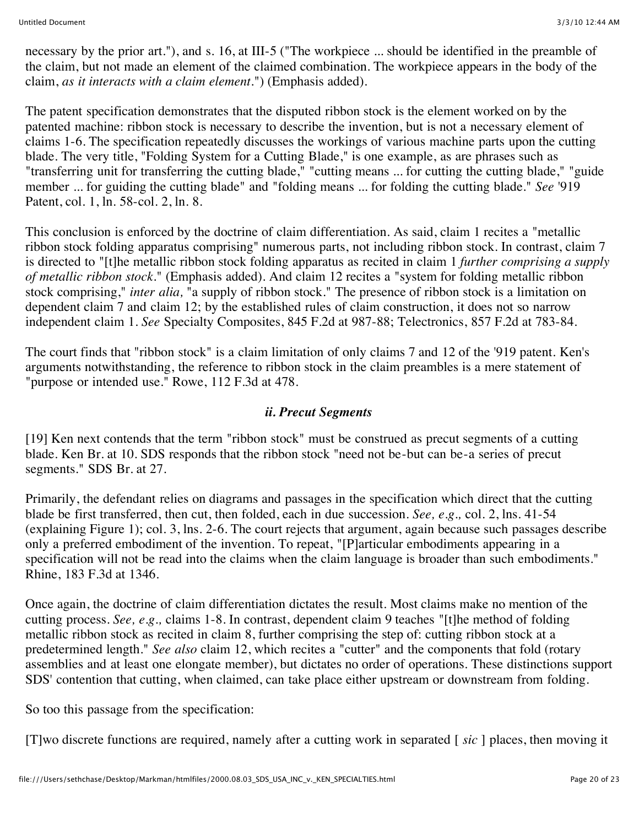necessary by the prior art."), and s. 16, at III-5 ("The workpiece ... should be identified in the preamble of the claim, but not made an element of the claimed combination. The workpiece appears in the body of the claim, *as it interacts with a claim element.*") (Emphasis added).

The patent specification demonstrates that the disputed ribbon stock is the element worked on by the patented machine: ribbon stock is necessary to describe the invention, but is not a necessary element of claims 1-6. The specification repeatedly discusses the workings of various machine parts upon the cutting blade. The very title, "Folding System for a Cutting Blade," is one example, as are phrases such as "transferring unit for transferring the cutting blade," "cutting means ... for cutting the cutting blade," "guide member ... for guiding the cutting blade" and "folding means ... for folding the cutting blade." *See* '919 Patent, col. 1, ln. 58-col. 2, ln. 8.

This conclusion is enforced by the doctrine of claim differentiation. As said, claim 1 recites a "metallic ribbon stock folding apparatus comprising" numerous parts, not including ribbon stock. In contrast, claim 7 is directed to "[t]he metallic ribbon stock folding apparatus as recited in claim 1 *further comprising a supply of metallic ribbon stock.*" (Emphasis added). And claim 12 recites a "system for folding metallic ribbon stock comprising," *inter alia,* "a supply of ribbon stock." The presence of ribbon stock is a limitation on dependent claim 7 and claim 12; by the established rules of claim construction, it does not so narrow independent claim 1. *See* Specialty Composites, 845 F.2d at 987-88; Telectronics, 857 F.2d at 783-84.

The court finds that "ribbon stock" is a claim limitation of only claims 7 and 12 of the '919 patent. Ken's arguments notwithstanding, the reference to ribbon stock in the claim preambles is a mere statement of "purpose or intended use." Rowe, 112 F.3d at 478.

### *ii. Precut Segments*

[19] Ken next contends that the term "ribbon stock" must be construed as precut segments of a cutting blade. Ken Br. at 10. SDS responds that the ribbon stock "need not be-but can be-a series of precut segments." SDS Br. at 27.

Primarily, the defendant relies on diagrams and passages in the specification which direct that the cutting blade be first transferred, then cut, then folded, each in due succession. *See, e.g.,* col. 2, lns. 41-54 (explaining Figure 1); col. 3, lns. 2-6. The court rejects that argument, again because such passages describe only a preferred embodiment of the invention. To repeat, "[P]articular embodiments appearing in a specification will not be read into the claims when the claim language is broader than such embodiments." Rhine, 183 F.3d at 1346.

Once again, the doctrine of claim differentiation dictates the result. Most claims make no mention of the cutting process. *See, e.g.,* claims 1-8. In contrast, dependent claim 9 teaches "[t]he method of folding metallic ribbon stock as recited in claim 8, further comprising the step of: cutting ribbon stock at a predetermined length." *See also* claim 12, which recites a "cutter" and the components that fold (rotary assemblies and at least one elongate member), but dictates no order of operations. These distinctions support SDS' contention that cutting, when claimed, can take place either upstream or downstream from folding.

So too this passage from the specification:

[T]wo discrete functions are required, namely after a cutting work in separated [ *sic* ] places, then moving it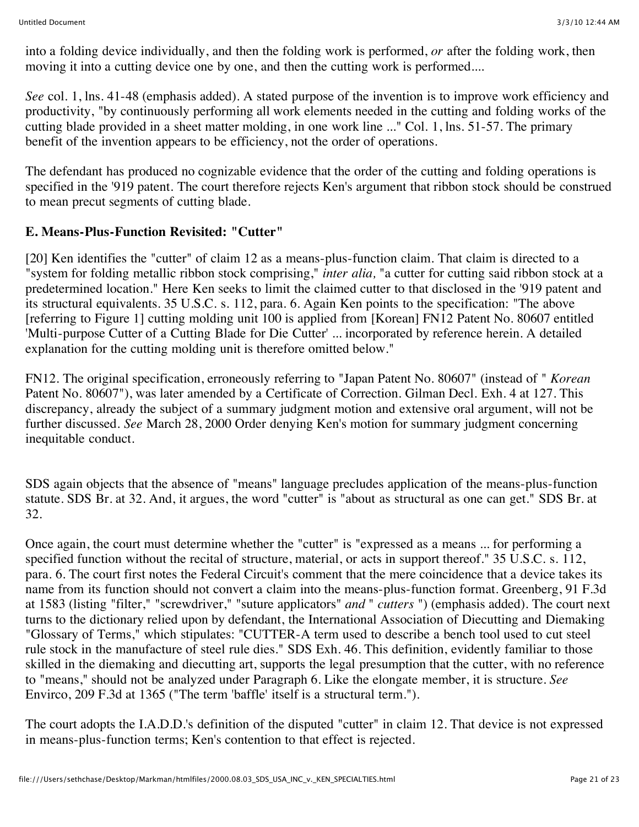into a folding device individually, and then the folding work is performed, *or* after the folding work, then moving it into a cutting device one by one, and then the cutting work is performed....

*See* col. 1, lns. 41-48 (emphasis added). A stated purpose of the invention is to improve work efficiency and productivity, "by continuously performing all work elements needed in the cutting and folding works of the cutting blade provided in a sheet matter molding, in one work line ..." Col. 1, lns. 51-57. The primary benefit of the invention appears to be efficiency, not the order of operations.

The defendant has produced no cognizable evidence that the order of the cutting and folding operations is specified in the '919 patent. The court therefore rejects Ken's argument that ribbon stock should be construed to mean precut segments of cutting blade.

## **E. Means-Plus-Function Revisited: "Cutter"**

[20] Ken identifies the "cutter" of claim 12 as a means-plus-function claim. That claim is directed to a "system for folding metallic ribbon stock comprising," *inter alia,* "a cutter for cutting said ribbon stock at a predetermined location." Here Ken seeks to limit the claimed cutter to that disclosed in the '919 patent and its structural equivalents. 35 U.S.C. s. 112, para. 6. Again Ken points to the specification: "The above [referring to Figure 1] cutting molding unit 100 is applied from [Korean] FN12 Patent No. 80607 entitled 'Multi-purpose Cutter of a Cutting Blade for Die Cutter' ... incorporated by reference herein. A detailed explanation for the cutting molding unit is therefore omitted below."

FN12. The original specification, erroneously referring to "Japan Patent No. 80607" (instead of " *Korean* Patent No. 80607"), was later amended by a Certificate of Correction. Gilman Decl. Exh. 4 at 127. This discrepancy, already the subject of a summary judgment motion and extensive oral argument, will not be further discussed. *See* March 28, 2000 Order denying Ken's motion for summary judgment concerning inequitable conduct.

SDS again objects that the absence of "means" language precludes application of the means-plus-function statute. SDS Br. at 32. And, it argues, the word "cutter" is "about as structural as one can get." SDS Br. at 32.

Once again, the court must determine whether the "cutter" is "expressed as a means ... for performing a specified function without the recital of structure, material, or acts in support thereof." 35 U.S.C. s. 112, para. 6. The court first notes the Federal Circuit's comment that the mere coincidence that a device takes its name from its function should not convert a claim into the means-plus-function format. Greenberg, 91 F.3d at 1583 (listing "filter," "screwdriver," "suture applicators" *and* " *cutters* ") (emphasis added). The court next turns to the dictionary relied upon by defendant, the International Association of Diecutting and Diemaking "Glossary of Terms," which stipulates: "CUTTER-A term used to describe a bench tool used to cut steel rule stock in the manufacture of steel rule dies." SDS Exh. 46. This definition, evidently familiar to those skilled in the diemaking and diecutting art, supports the legal presumption that the cutter, with no reference to "means," should not be analyzed under Paragraph 6. Like the elongate member, it is structure. *See* Envirco, 209 F.3d at 1365 ("The term 'baffle' itself is a structural term.").

The court adopts the I.A.D.D.'s definition of the disputed "cutter" in claim 12. That device is not expressed in means-plus-function terms; Ken's contention to that effect is rejected.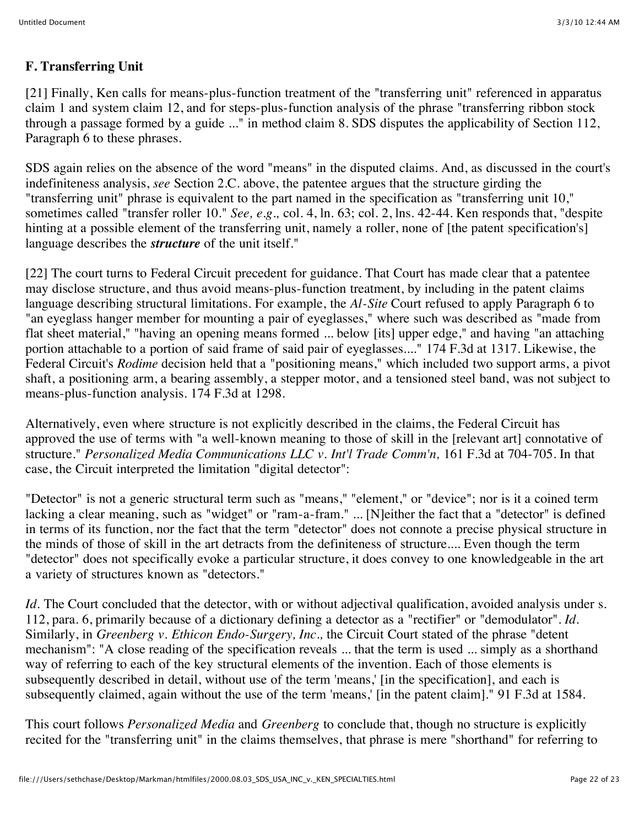## **F. Transferring Unit**

[21] Finally, Ken calls for means-plus-function treatment of the "transferring unit" referenced in apparatus claim 1 and system claim 12, and for steps-plus-function analysis of the phrase "transferring ribbon stock through a passage formed by a guide ..." in method claim 8. SDS disputes the applicability of Section 112, Paragraph 6 to these phrases.

SDS again relies on the absence of the word "means" in the disputed claims. And, as discussed in the court's indefiniteness analysis, *see* Section 2.C. above, the patentee argues that the structure girding the "transferring unit" phrase is equivalent to the part named in the specification as "transferring unit 10," sometimes called "transfer roller 10." *See, e.g.,* col. 4, ln. 63; col. 2, lns. 42-44. Ken responds that, "despite hinting at a possible element of the transferring unit, namely a roller, none of [the patent specification's] language describes the *structure* of the unit itself."

[22] The court turns to Federal Circuit precedent for guidance. That Court has made clear that a patentee may disclose structure, and thus avoid means-plus-function treatment, by including in the patent claims language describing structural limitations. For example, the *Al-Site* Court refused to apply Paragraph 6 to "an eyeglass hanger member for mounting a pair of eyeglasses," where such was described as "made from flat sheet material," "having an opening means formed ... below [its] upper edge," and having "an attaching portion attachable to a portion of said frame of said pair of eyeglasses...." 174 F.3d at 1317. Likewise, the Federal Circuit's *Rodime* decision held that a "positioning means," which included two support arms, a pivot shaft, a positioning arm, a bearing assembly, a stepper motor, and a tensioned steel band, was not subject to means-plus-function analysis. 174 F.3d at 1298.

Alternatively, even where structure is not explicitly described in the claims, the Federal Circuit has approved the use of terms with "a well-known meaning to those of skill in the [relevant art] connotative of structure." *Personalized Media Communications LLC v. Int'l Trade Comm'n,* 161 F.3d at 704-705. In that case, the Circuit interpreted the limitation "digital detector":

"Detector" is not a generic structural term such as "means," "element," or "device"; nor is it a coined term lacking a clear meaning, such as "widget" or "ram-a-fram." ... [N]either the fact that a "detector" is defined in terms of its function, nor the fact that the term "detector" does not connote a precise physical structure in the minds of those of skill in the art detracts from the definiteness of structure.... Even though the term "detector" does not specifically evoke a particular structure, it does convey to one knowledgeable in the art a variety of structures known as "detectors."

*Id.* The Court concluded that the detector, with or without adjectival qualification, avoided analysis under s. 112, para. 6, primarily because of a dictionary defining a detector as a "rectifier" or "demodulator". *Id.* Similarly, in *Greenberg v. Ethicon Endo-Surgery, Inc.,* the Circuit Court stated of the phrase "detent mechanism": "A close reading of the specification reveals ... that the term is used ... simply as a shorthand way of referring to each of the key structural elements of the invention. Each of those elements is subsequently described in detail, without use of the term 'means,' [in the specification], and each is subsequently claimed, again without the use of the term 'means,' [in the patent claim]." 91 F.3d at 1584.

This court follows *Personalized Media* and *Greenberg* to conclude that, though no structure is explicitly recited for the "transferring unit" in the claims themselves, that phrase is mere "shorthand" for referring to